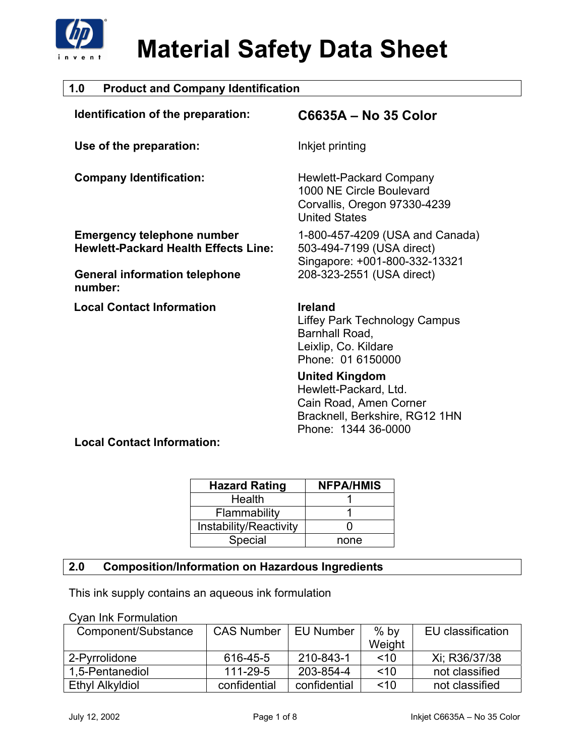

| <b>Product and Company Identification</b><br>1.0                                 |                                                                                                                                   |  |  |
|----------------------------------------------------------------------------------|-----------------------------------------------------------------------------------------------------------------------------------|--|--|
| Identification of the preparation:                                               | C6635A - No 35 Color                                                                                                              |  |  |
| Use of the preparation:                                                          | Inkjet printing                                                                                                                   |  |  |
| <b>Company Identification:</b>                                                   | Hewlett-Packard Company<br>1000 NE Circle Boulevard<br>Corvallis, Oregon 97330-4239<br><b>United States</b>                       |  |  |
| <b>Emergency telephone number</b><br><b>Hewlett-Packard Health Effects Line:</b> | 1-800-457-4209 (USA and Canada)<br>503-494-7199 (USA direct)<br>Singapore: +001-800-332-13321                                     |  |  |
| <b>General information telephone</b><br>number:                                  | 208-323-2551 (USA direct)                                                                                                         |  |  |
| <b>Local Contact Information</b>                                                 | <b>Ireland</b><br>Liffey Park Technology Campus<br>Barnhall Road,<br>Leixlip, Co. Kildare<br>Phone: 01 6150000                    |  |  |
|                                                                                  | <b>United Kingdom</b><br>Hewlett-Packard, Ltd.<br>Cain Road, Amen Corner<br>Bracknell, Berkshire, RG12 1HN<br>Phone: 1344 36-0000 |  |  |

### **Local Contact Information:**

| <b>Hazard Rating</b>   | <b>NFPA/HMIS</b> |
|------------------------|------------------|
| Health                 |                  |
| Flammability           |                  |
| Instability/Reactivity |                  |
| Special                | none             |

### **2.0 Composition/Information on Hazardous Ingredients**

This ink supply contains an aqueous ink formulation

### Cyan Ink Formulation

| Component/Substance | <b>CAS Number</b> | EU Number    | $%$ by | EU classification |
|---------------------|-------------------|--------------|--------|-------------------|
|                     |                   |              | Weight |                   |
| 2-Pyrrolidone       | 616-45-5          | 210-843-1    | ~10    | Xi: R36/37/38     |
| 1,5-Pentanediol     | 111-29-5          | 203-854-4    | ~10    | not classified    |
| Ethyl Alkyldiol     | confidential      | confidential | ~10    | not classified    |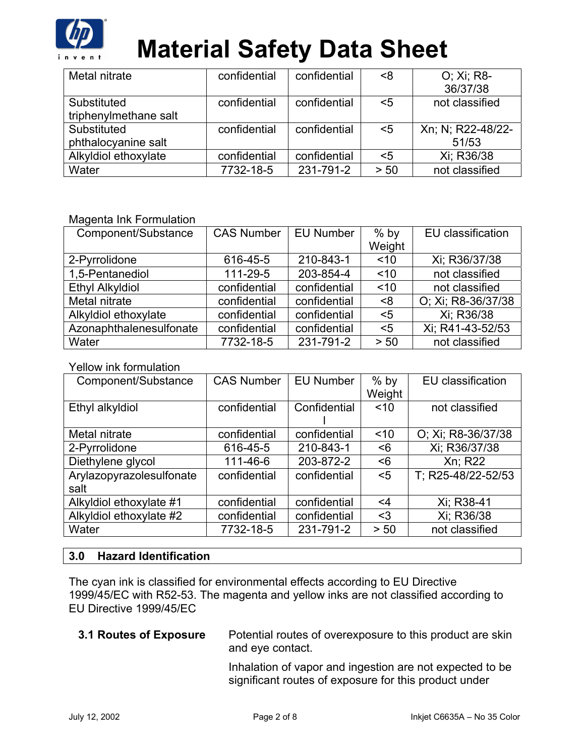

| Metal nitrate         | confidential | confidential | <8   | O; Xi; R8-        |
|-----------------------|--------------|--------------|------|-------------------|
|                       |              |              |      | 36/37/38          |
| Substituted           | confidential | confidential | $5$  | not classified    |
| triphenylmethane salt |              |              |      |                   |
| Substituted           | confidential | confidential | $5$  | Xn; N; R22-48/22- |
| phthalocyanine salt   |              |              |      | 51/53             |
| Alkyldiol ethoxylate  | confidential | confidential | $5$  | Xi; R36/38        |
| Water                 | 7732-18-5    | 231-791-2    | > 50 | not classified    |

### Magenta Ink Formulation

| Component/Substance     | <b>CAS Number</b> | <b>EU Number</b> | $%$ by | EU classification  |
|-------------------------|-------------------|------------------|--------|--------------------|
|                         |                   |                  | Weight |                    |
| 2-Pyrrolidone           | 616-45-5          | 210-843-1        | ~10    | Xi; R36/37/38      |
| 1,5-Pentanediol         | 111-29-5          | 203-854-4        | ~10    | not classified     |
| <b>Ethyl Alkyldiol</b>  | confidential      | confidential     | ~10    | not classified     |
| Metal nitrate           | confidential      | confidential     | 8>     | O; Xi; R8-36/37/38 |
| Alkyldiol ethoxylate    | confidential      | confidential     | $5$    | Xi; R36/38         |
| Azonaphthalenesulfonate | confidential      | confidential     | $5$    | Xi; R41-43-52/53   |
| Water                   | 7732-18-5         | 231-791-2        | > 50   | not classified     |

#### Yellow ink formulation

| Component/Substance      | <b>CAS Number</b> | <b>EU Number</b> | $%$ by | EU classification  |
|--------------------------|-------------------|------------------|--------|--------------------|
|                          |                   |                  | Weight |                    |
| Ethyl alkyldiol          | confidential      | Confidential     | ~10    | not classified     |
|                          |                   |                  |        |                    |
| Metal nitrate            | confidential      | confidential     | ~10    | O; Xi; R8-36/37/38 |
| 2-Pyrrolidone            | 616-45-5          | 210-843-1        | <6     | Xi; R36/37/38      |
| Diethylene glycol        | 111-46-6          | 203-872-2        | <6     | Xn; R22            |
| Arylazopyrazolesulfonate | confidential      | confidential     | $5$    | T; R25-48/22-52/53 |
| salt                     |                   |                  |        |                    |
| Alkyldiol ethoxylate #1  | confidential      | confidential     | <4     | Xi; R38-41         |
| Alkyldiol ethoxylate #2  | confidential      | confidential     | $3$    | Xi; R36/38         |
| Water                    | 7732-18-5         | 231-791-2        | > 50   | not classified     |

### **3.0 Hazard Identification**

The cyan ink is classified for environmental effects according to EU Directive 1999/45/EC with R52-53. The magenta and yellow inks are not classified according to EU Directive 1999/45/EC

### **3.1 Routes of Exposure** Potential routes of overexposure to this product are skin and eye contact.

Inhalation of vapor and ingestion are not expected to be significant routes of exposure for this product under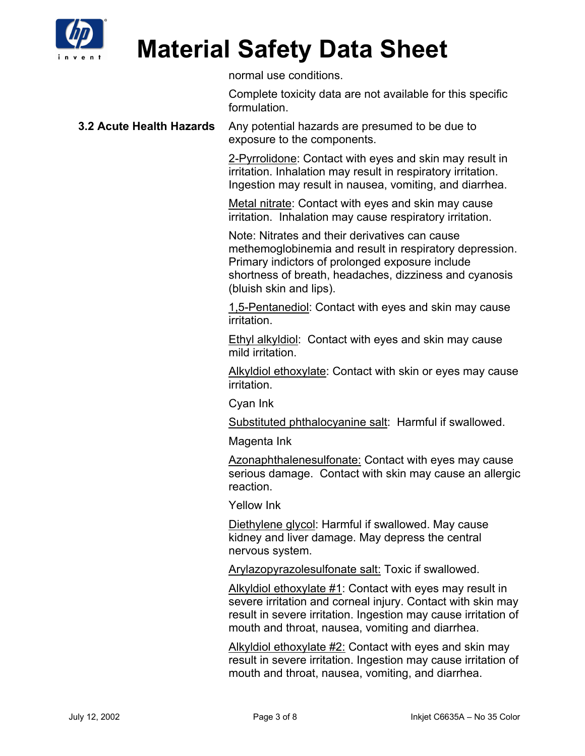

normal use conditions.

Complete toxicity data are not available for this specific formulation.

#### **3.2 Acute Health Hazards** Any potential hazards are presumed to be due to exposure to the components.

2-Pyrrolidone: Contact with eyes and skin may result in irritation. Inhalation may result in respiratory irritation. Ingestion may result in nausea, vomiting, and diarrhea.

Metal nitrate: Contact with eyes and skin may cause irritation. Inhalation may cause respiratory irritation.

Note: Nitrates and their derivatives can cause methemoglobinemia and result in respiratory depression. Primary indictors of prolonged exposure include shortness of breath, headaches, dizziness and cyanosis (bluish skin and lips).

1,5-Pentanediol: Contact with eyes and skin may cause irritation.

**Ethyl alkyldiol:** Contact with eyes and skin may cause mild irritation.

Alkyldiol ethoxylate: Contact with skin or eyes may cause irritation.

Cyan Ink

Substituted phthalocyanine salt: Harmful if swallowed.

Magenta Ink

Azonaphthalenesulfonate: Contact with eyes may cause serious damage. Contact with skin may cause an allergic reaction.

Yellow Ink

Diethylene glycol: Harmful if swallowed. May cause kidney and liver damage. May depress the central nervous system.

Arylazopyrazolesulfonate salt: Toxic if swallowed.

Alkyldiol ethoxylate #1: Contact with eyes may result in severe irritation and corneal injury. Contact with skin may result in severe irritation. Ingestion may cause irritation of mouth and throat, nausea, vomiting and diarrhea.

Alkyldiol ethoxylate #2: Contact with eyes and skin may result in severe irritation. Ingestion may cause irritation of mouth and throat, nausea, vomiting, and diarrhea.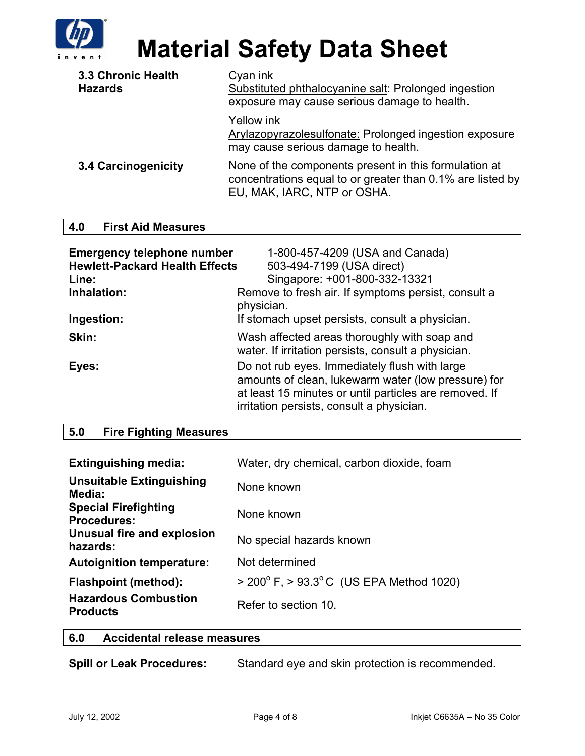

| 3.3 Chronic Health<br><b>Hazards</b> | Cyan ink<br>Substituted phthalocyanine salt: Prolonged ingestion<br>exposure may cause serious damage to health.                                   |
|--------------------------------------|----------------------------------------------------------------------------------------------------------------------------------------------------|
|                                      | Yellow ink<br>Arylazopyrazolesulfonate: Prolonged ingestion exposure<br>may cause serious damage to health.                                        |
| 3.4 Carcinogenicity                  | None of the components present in this formulation at<br>concentrations equal to or greater than 0.1% are listed by<br>EU, MAK, IARC, NTP or OSHA. |

### **4.0 First Aid Measures**

| <b>Emergency telephone number</b><br><b>Hewlett-Packard Health Effects</b><br>Line:<br>Inhalation: | 1-800-457-4209 (USA and Canada)<br>503-494-7199 (USA direct)<br>Singapore: +001-800-332-13321<br>Remove to fresh air. If symptoms persist, consult a<br>physician.                                          |
|----------------------------------------------------------------------------------------------------|-------------------------------------------------------------------------------------------------------------------------------------------------------------------------------------------------------------|
| Ingestion:                                                                                         | If stomach upset persists, consult a physician.                                                                                                                                                             |
| Skin:                                                                                              | Wash affected areas thoroughly with soap and<br>water. If irritation persists, consult a physician.                                                                                                         |
| Eyes:                                                                                              | Do not rub eyes. Immediately flush with large<br>amounts of clean, lukewarm water (low pressure) for<br>at least 15 minutes or until particles are removed. If<br>irritation persists, consult a physician. |

### **5.0 Fire Fighting Measures**

| <b>Extinguishing media:</b>                       | Water, dry chemical, carbon dioxide, foam                      |
|---------------------------------------------------|----------------------------------------------------------------|
| <b>Unsuitable Extinguishing</b><br>Media:         | None known                                                     |
| <b>Special Firefighting</b><br><b>Procedures:</b> | None known                                                     |
| Unusual fire and explosion<br>hazards:            | No special hazards known                                       |
| <b>Autoignition temperature:</b>                  | Not determined                                                 |
| <b>Flashpoint (method):</b>                       | $>$ 200 $\degree$ F, $>$ 93.3 $\degree$ C (US EPA Method 1020) |
| <b>Hazardous Combustion</b><br><b>Products</b>    | Refer to section 10.                                           |

### **6.0 Accidental release measures**

| <b>Spill or Leak Procedures:</b> | Standard eye and skin protection is recommended. |
|----------------------------------|--------------------------------------------------|
|----------------------------------|--------------------------------------------------|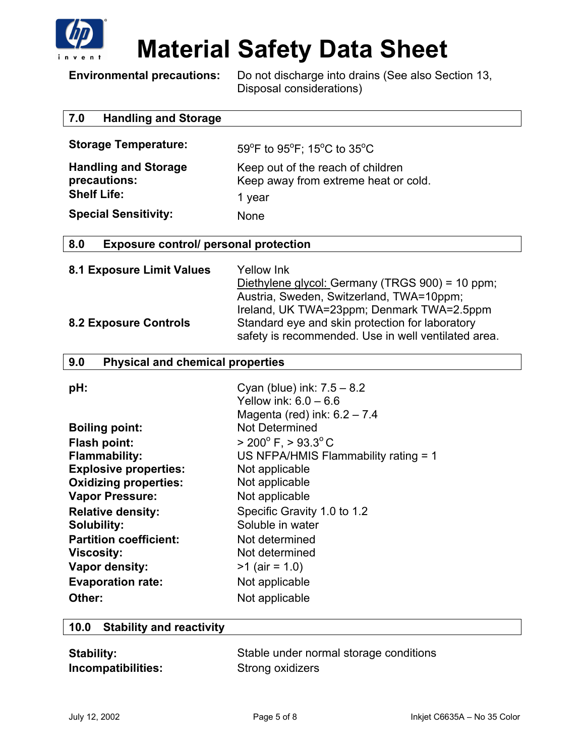

**Environmental precautions:** Do not discharge into drains (See also Section 13, Disposal considerations)

|  | 7.0 | <b>Handling and Storage</b> |  |
|--|-----|-----------------------------|--|
|--|-----|-----------------------------|--|

| <b>Storage Temperature:</b>                                       | 59°F to 95°F; 15°C to 35°C                                                |
|-------------------------------------------------------------------|---------------------------------------------------------------------------|
| <b>Handling and Storage</b><br>precautions:<br><b>Shelf Life:</b> | Keep out of the reach of children<br>Keep away from extreme heat or cold. |
|                                                                   | 1 year                                                                    |
| <b>Special Sensitivity:</b>                                       | None                                                                      |

### **8.0 Exposure control/ personal protection**

| 8.1 Exposure Limit Values    | Yellow Ink                                          |
|------------------------------|-----------------------------------------------------|
|                              | Diethylene glycol: Germany (TRGS 900) = 10 ppm;     |
|                              | Austria, Sweden, Switzerland, TWA=10ppm;            |
|                              | Ireland, UK TWA=23ppm; Denmark TWA=2.5ppm           |
| <b>8.2 Exposure Controls</b> | Standard eye and skin protection for laboratory     |
|                              | safety is recommended. Use in well ventilated area. |

### **9.0 Physical and chemical properties**

| pH:                           | Cyan (blue) ink: $7.5 - 8.2$<br>Yellow ink: $6.0 - 6.6$<br>Magenta (red) ink: $6.2 - 7.4$ |
|-------------------------------|-------------------------------------------------------------------------------------------|
| <b>Boiling point:</b>         | Not Determined                                                                            |
| <b>Flash point:</b>           | $> 200^{\circ}$ F, $> 93.3^{\circ}$ C                                                     |
| <b>Flammability:</b>          | US NFPA/HMIS Flammability rating = 1                                                      |
| <b>Explosive properties:</b>  | Not applicable                                                                            |
| <b>Oxidizing properties:</b>  | Not applicable                                                                            |
| <b>Vapor Pressure:</b>        | Not applicable                                                                            |
| <b>Relative density:</b>      | Specific Gravity 1.0 to 1.2                                                               |
| <b>Solubility:</b>            | Soluble in water                                                                          |
| <b>Partition coefficient:</b> | Not determined                                                                            |
| <b>Viscosity:</b>             | Not determined                                                                            |
| Vapor density:                | $>1$ (air = 1.0)                                                                          |
| <b>Evaporation rate:</b>      | Not applicable                                                                            |
| Other:                        | Not applicable                                                                            |

| 10.0 Stability and reactivity |  |
|-------------------------------|--|
|                               |  |

| <b>Stability:</b>  | Stable under normal storage conditions |
|--------------------|----------------------------------------|
| Incompatibilities: | Strong oxidizers                       |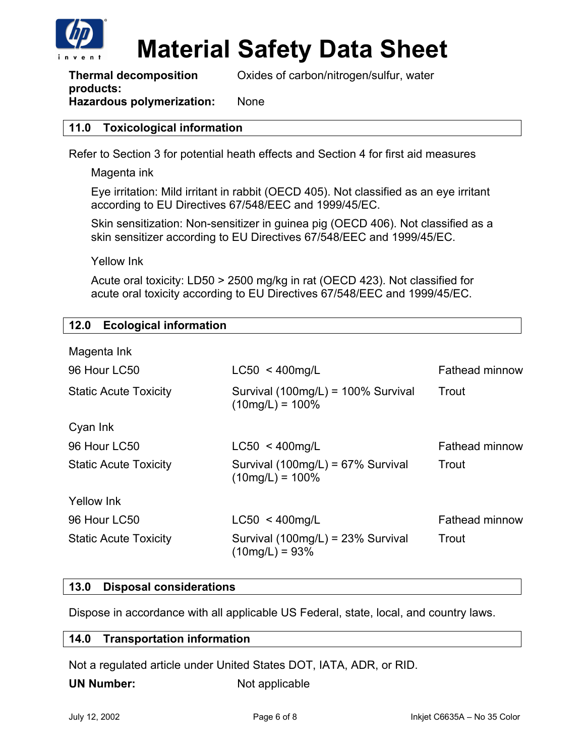

**Thermal decomposition products:**  Oxides of carbon/nitrogen/sulfur, water

### **Hazardous polymerization:** None

### **11.0 Toxicological information**

Refer to Section 3 for potential heath effects and Section 4 for first aid measures

Magenta ink

Eye irritation: Mild irritant in rabbit (OECD 405). Not classified as an eye irritant according to EU Directives 67/548/EEC and 1999/45/EC.

Skin sensitization: Non-sensitizer in guinea pig (OECD 406). Not classified as a skin sensitizer according to EU Directives 67/548/EEC and 1999/45/EC.

Yellow Ink

Acute oral toxicity: LD50 > 2500 mg/kg in rat (OECD 423). Not classified for acute oral toxicity according to EU Directives 67/548/EEC and 1999/45/EC.

### **12.0 Ecological information**

| $LC50 < 400$ mg/L                                        | <b>Fathead minnow</b> |
|----------------------------------------------------------|-----------------------|
| Survival (100mg/L) = 100% Survival<br>$(10mg/L) = 100\%$ | Trout                 |
|                                                          |                       |
| $LC50 < 400$ mg/L                                        | <b>Fathead minnow</b> |
| Survival (100mg/L) = 67% Survival<br>$(10mg/L) = 100\%$  | Trout                 |
|                                                          |                       |
| $LC50 < 400$ mg/L                                        | <b>Fathead minnow</b> |
| Survival (100mg/L) = 23% Survival<br>$(10mg/L) = 93\%$   | Trout                 |
|                                                          |                       |

### **13.0 Disposal considerations**

Dispose in accordance with all applicable US Federal, state, local, and country laws.

#### **14.0 Transportation information**

Not a regulated article under United States DOT, IATA, ADR, or RID.

**UN Number:** Not applicable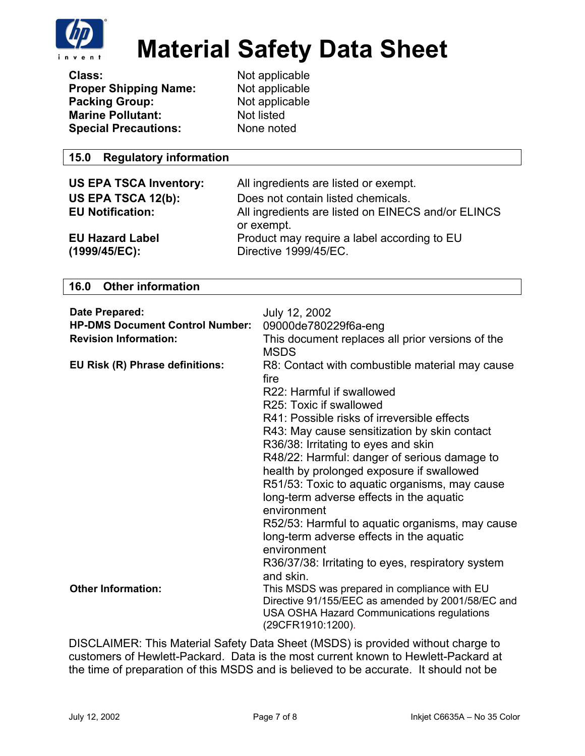

| Class:                       |  |
|------------------------------|--|
| <b>Proper Shipping Name:</b> |  |
| <b>Packing Group:</b>        |  |
| <b>Marine Pollutant:</b>     |  |
| <b>Special Precautions:</b>  |  |

**Class:** Not applicable **Not applicable Not applicable Not listed None noted** 

### **15.0 Regulatory information**

| <b>US EPA TSCA Inventory:</b>           | All ingredients are listed or exempt.                                |
|-----------------------------------------|----------------------------------------------------------------------|
| US EPA TSCA 12(b):                      | Does not contain listed chemicals.                                   |
| <b>EU Notification:</b>                 | All ingredients are listed on EINECS and/or ELINCS<br>or exempt.     |
| <b>EU Hazard Label</b><br>(1999/45/EC): | Product may require a label according to EU<br>Directive 1999/45/EC. |

### **16.0 Other information**

| Date Prepared:<br><b>HP-DMS Document Control Number:</b><br><b>Revision Information:</b> | July 12, 2002<br>09000de780229f6a-eng<br>This document replaces all prior versions of the<br><b>MSDS</b>                                                                                                                                                                                                                                                                                                                                                                                                                                                                                                                          |
|------------------------------------------------------------------------------------------|-----------------------------------------------------------------------------------------------------------------------------------------------------------------------------------------------------------------------------------------------------------------------------------------------------------------------------------------------------------------------------------------------------------------------------------------------------------------------------------------------------------------------------------------------------------------------------------------------------------------------------------|
| EU Risk (R) Phrase definitions:                                                          | R8: Contact with combustible material may cause<br>fire<br>R22: Harmful if swallowed<br>R25: Toxic if swallowed<br>R41: Possible risks of irreversible effects<br>R43: May cause sensitization by skin contact<br>R36/38: Irritating to eyes and skin<br>R48/22: Harmful: danger of serious damage to<br>health by prolonged exposure if swallowed<br>R51/53: Toxic to aquatic organisms, may cause<br>long-term adverse effects in the aquatic<br>environment<br>R52/53: Harmful to aquatic organisms, may cause<br>long-term adverse effects in the aquatic<br>environment<br>R36/37/38: Irritating to eyes, respiratory system |
| <b>Other Information:</b>                                                                | and skin.<br>This MSDS was prepared in compliance with EU<br>Directive 91/155/EEC as amended by 2001/58/EC and<br>USA OSHA Hazard Communications regulations<br>(29CFR1910:1200).                                                                                                                                                                                                                                                                                                                                                                                                                                                 |

DISCLAIMER: This Material Safety Data Sheet (MSDS) is provided without charge to customers of Hewlett-Packard. Data is the most current known to Hewlett-Packard at the time of preparation of this MSDS and is believed to be accurate. It should not be